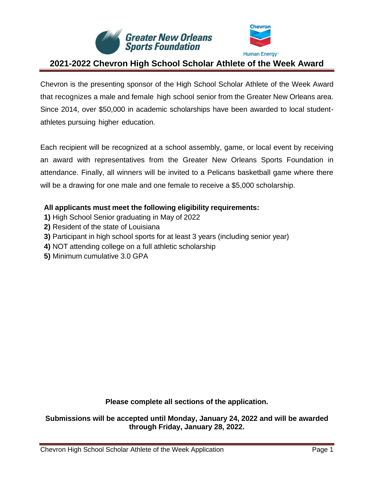



Chevron is the presenting sponsor of the High School Scholar Athlete of the Week Award that recognizes a male and female high school senior from the Greater New Orleans area. Since 2014, over \$50,000 in academic scholarships have been awarded to local studentathletes pursuing higher education.

Each recipient will be recognized at a school assembly, game, or local event by receiving an award with representatives from the Greater New Orleans Sports Foundation in attendance. Finally, all winners will be invited to a Pelicans basketball game where there will be a drawing for one male and one female to receive a \$5,000 scholarship.

### **All applicants must meet the following eligibility requirements:**

- **1)** High School Senior graduating in May of 2022
- **2)** Resident of the state of Louisiana
- **3)** Participant in high school sports for at least 3 years (including senior year)
- **4)** NOT attending college on a full athletic scholarship
- **5)** Minimum cumulative 3.0 GPA

**Please complete all sections of the application.**

**Submissions will be accepted until Monday, January 24, 2022 and will be awarded through Friday, January 28, 2022.**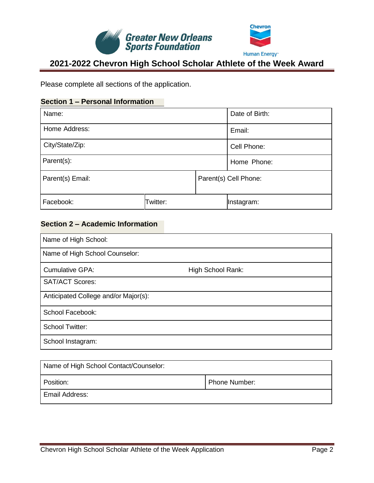



Please complete all sections of the application.

### **Section 1 – Personal Information**

| Name:            |          | Date of Birth: |                       |  |
|------------------|----------|----------------|-----------------------|--|
| Home Address:    |          | Email:         |                       |  |
| City/State/Zip:  |          |                | Cell Phone:           |  |
| Parent(s):       |          | Home Phone:    |                       |  |
| Parent(s) Email: |          |                | Parent(s) Cell Phone: |  |
| Facebook:        | Twitter: |                | Instagram:            |  |

### **Section 2 – Academic Information**

| Name of High School:                 |                   |
|--------------------------------------|-------------------|
| Name of High School Counselor:       |                   |
| <b>Cumulative GPA:</b>               | High School Rank: |
| <b>SAT/ACT Scores:</b>               |                   |
| Anticipated College and/or Major(s): |                   |
| School Facebook:                     |                   |
| <b>School Twitter:</b>               |                   |
| School Instagram:                    |                   |

| Name of High School Contact/Counselor: |               |
|----------------------------------------|---------------|
| Position:                              | Phone Number: |
| Email Address:                         |               |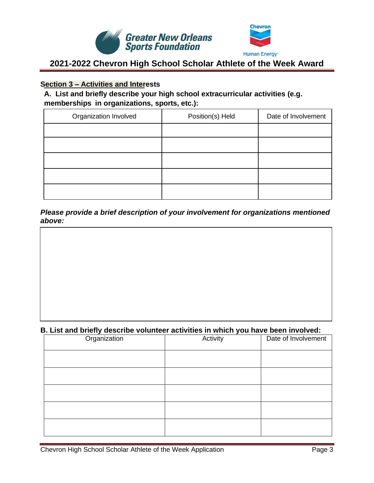



#### **Section 3 – Activities and Interests**

**A. List and briefly describe your high school extracurricular activities (e.g. memberships in organizations, sports, etc.):**

| Organization Involved | Position(s) Held | Date of Involvement |
|-----------------------|------------------|---------------------|
|                       |                  |                     |
|                       |                  |                     |
|                       |                  |                     |
|                       |                  |                     |
|                       |                  |                     |

*Please provide a brief description of your involvement for organizations mentioned above:* 

#### **B. List and briefly describe volunteer activities in which you have been involved:**

| Organization | Activity | Date of Involvement |
|--------------|----------|---------------------|
|              |          |                     |
|              |          |                     |
|              |          |                     |
|              |          |                     |
|              |          |                     |
|              |          |                     |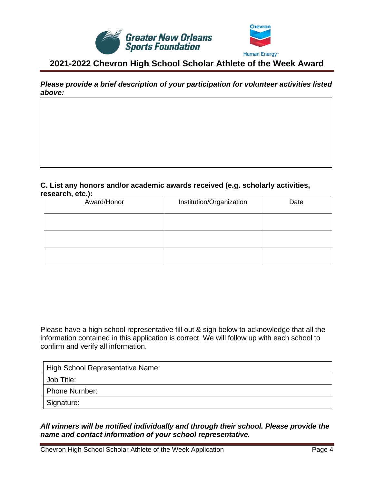



*Please provide a brief description of your participation for volunteer activities listed above:* 

#### **C. List any honors and/or academic awards received (e.g. scholarly activities, research, etc.):**

| Award/Honor | Institution/Organization | Date |
|-------------|--------------------------|------|
|             |                          |      |
|             |                          |      |
|             |                          |      |

Please have a high school representative fill out & sign below to acknowledge that all the information contained in this application is correct. We will follow up with each school to confirm and verify all information.

| High School Representative Name: |
|----------------------------------|
| Job Title:                       |
| Phone Number:                    |
| Signature:                       |

### *All winners will be notified individually and through their school. Please provide the name and contact information of your school representative.*